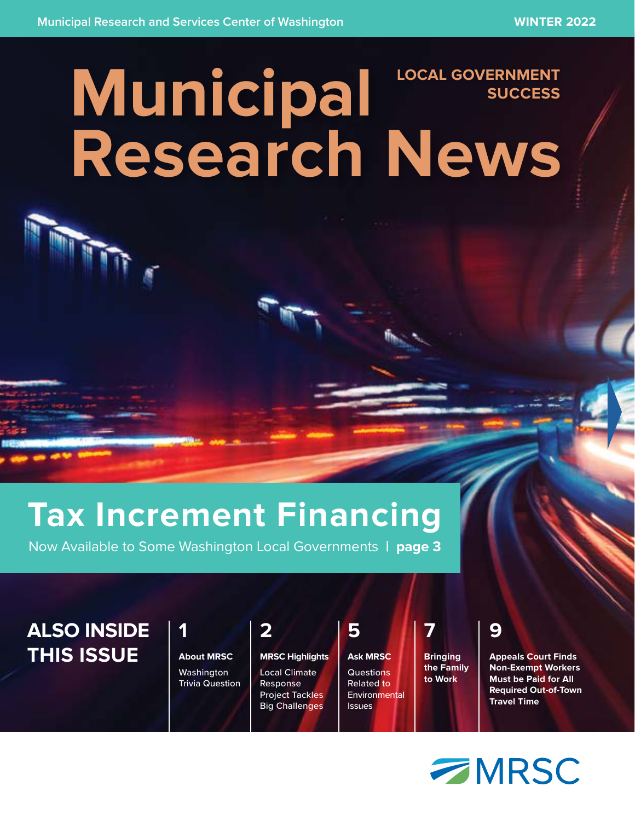### **Municipal Research News LOCAL GOVERNMENT SUCCESS**

## **Tax Increment Financing**

Now Available to Some Washington Local Governments **| page 3**

### **ALSO INSIDE THIS ISSUE**

| 41                |  |
|-------------------|--|
| <b>About MRSC</b> |  |
| Washington        |  |

Trivia Question Local Climate Response Project Tackles

**2**

**MRSC Highlights** Big Challenges **Ask MRSC Questions** Related to **Environmental Issues** 

**5**

**Bringing the Family to Work**

**7**

**9**

**Appeals Court Finds Non-Exempt Workers Must be Paid for All Required Out-of-Town Travel Time**

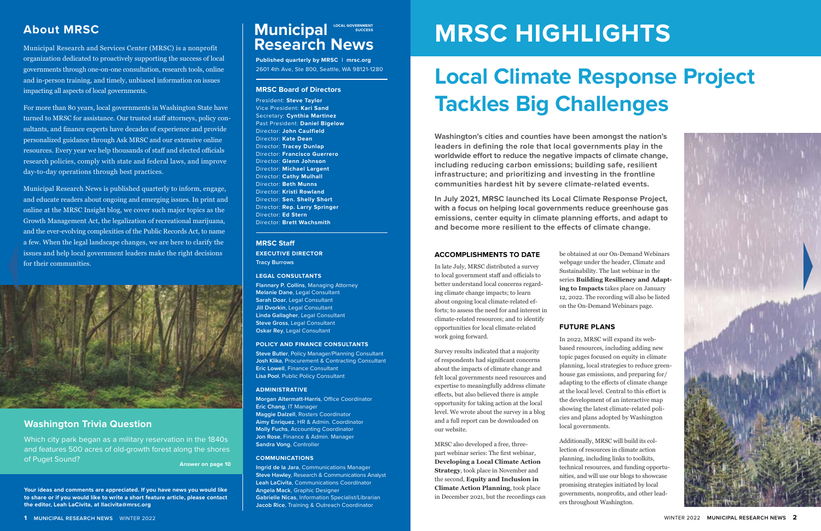#### **ACCOMPLISHMENTS TO DATE**

In late July, MRSC distributed a survey to local government staff and officials to better understand local concerns regarding climate change impacts; to learn about ongoing local climate-related efforts; to assess the need for and interest in climate-related resources; and to identify opportunities for local climate-related work going forward.

### **About MRSC Municipal Municipal CON SUCCESS Research News**

Survey results indicated that a majority of respondents had significant concerns about the impacts of climate change and felt local governments need resources and expertise to meaningfully address climate effects, but also believed there is ample opportunity for taking action at the local level. We wrote about the survey in a blog and a full report can be downloaded on our website.

MRSC also developed a free, threepart webinar series: The first webinar, **Developing a Local Climate Action Strategy**, took place in November and the second, **Equity and Inclusion in Climate Action Planning**, took place in December 2021, but the recordings can

Municipal Research and Services Center (MRSC) is a nonprofit organization dedicated to proactively supporting the success of local governments through one-on-one consultation, research tools, online and in-person training, and timely, unbiased information on issues impacting all aspects of local governments.

For more than 80 years, local governments in Washington State have turned to MRSC for assistance. Our trusted staff attorneys, policy consultants, and finance experts have decades of experience and provide personalized guidance through Ask MRSC and our extensive online resources. Every year we help thousands of staff and elected officials research policies, comply with state and federal laws, and improve day-to-day operations through best practices.

Municipal Research News is published quarterly to inform, engage, and educate readers about ongoing and emerging issues. In print and online at the MRSC Insight blog, we cover such major topics as the Growth Management Act, the legalization of recreational marijuana, and the ever-evolving complexities of the Public Records Act, to name a few. When the legal landscape changes, we are here to clarify the issues and help local government leaders make the right decisions for their communities.



**Your ideas and comments are appreciated. If you have news you would like to share or if you would like to write a short feature article, please contact the editor, Leah LaCivita, at llacivita@mrsc.org**

# **MRSC HIGHLIGHTS**

# **Local Climate Response Project Tackles Big Challenges**

**Washington's cities and counties have been amongst the nation's leaders in defining the role that local governments play in the worldwide effort to reduce the negative impacts of climate change, including reducing carbon emissions; building safe, resilient infrastructure; and prioritizing and investing in the frontline communities hardest hit by severe climate-related events.**

**In July 2021, MRSC launched its Local Climate Response Project, with a focus on helping local governments reduce greenhouse gas emissions, center equity in climate planning efforts, and adapt to and become more resilient to the effects of climate change.**

> be obtained at our On-Demand Webinars webpage under the header, Climate and Sustainability. The last webinar in the series **Building Resiliency and Adapting to Impacts** takes place on January 12, 2022. The recording will also be listed on the On-Demand Webinars page.

#### **FUTURE PLANS**

In 2022, MRSC will expand its webbased resources, including adding new topic pages focused on equity in climate planning, local strategies to reduce greenhouse gas emissions, and preparing for/ adapting to the effects of climate change at the local level. Central to this effort is the development of an interactive map showing the latest climate-related policies and plans adopted by Washington local governments.

Additionally, MRSC will build its collection of resources in climate action planning, including links to toolkits, technical resources, and funding opportunities, and will use our blogs to showcase promising strategies initiated by local governments, nonprofits, and other leaders throughout Washington.



#### **Washington Trivia Question**

Which city park began as a military reservation in the 1840s and features 500 acres of old-growth forest along the shores of Puget Sound?

**Published quarterly by MRSC | mrsc.org** 2601 4th Ave, Ste 800, Seattle, WA 98121-1280

#### **MRSC Board of Directors**

President: **Steve Taylor** Vice President: **Kari Sand** Secretary: **Cynthia Martinez** Past President: **Daniel Bigelow**  Director: **John Caulfield**  Director: **Kate Dean** Director: **Tracey Dunlap** Director: **Francisco Guerrero** Director: **Glenn Johnson** Director: **Michael Largent** Director: **Cathy Mulhall** Director: **Beth Munns** Director: **Kristi Rowland** Director: **Sen. Shelly Short** Director: **Rep. Larry Springer** Director: **Ed Stern** Director: **Brett Wachsmith**

#### **MRSC Staff EXECUTIVE DIRECTOR**

**Tracy Burrows**

#### **LEGAL CONSULTANTS**

**Flannary P. Collins**, Managing Attorney **Melanie Dane**, Legal Consultant **Sarah Doar**, Legal Consultant **Jill Dvorkin**, Legal Consultant **Linda Gallagher**, Legal Consultant **Steve Gross**, Legal Consultant **Oskar Rey**, Legal Consultant

#### **POLICY AND FINANCE CONSULTANTS**

**Steve Butler**, Policy Manager/Planning Consultant **Josh Klika**, Procurement & Contracting Consultant **Eric Lowell**, Finance Consultant **Lisa Pool**, Public Policy Consultant

#### **ADMINISTRATIVE**

**Morgan Altermatt-Harris**, Office Coordinator **Eric Chang**, IT Manager **Maggie Dalzell**, Rosters Coordinator **Aimy Enriquez**, HR & Admin. Coordinator **Molly Fuchs**, Accounting Coordinator **Jon Rose**, Finance & Admin. Manager **Sandra Vong**, Controller

#### **COMMUNICATIONS**

**Ingrid de la Jara**, Communications Manager **Steve Hawley**, Research & Communications Analyst **Leah LaCivita**, Communications Coordinator **Angela Mack**, Graphic Designer **Gabrielle Nicas**, Information Specialist/Librarian **Jacob Rice**, Training & Outreach Coordinator

**Answer on page 10**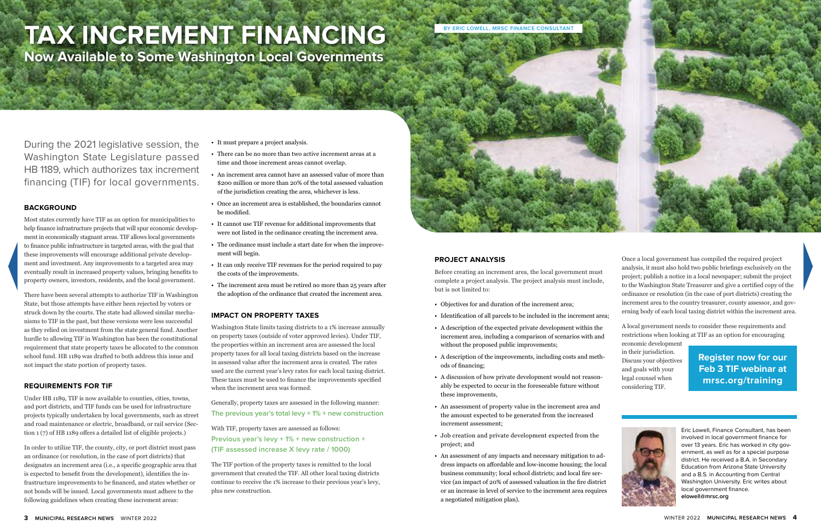# **TAX INCREMENT FINANCING**

**Now Available to Some Washington Local Governments** 

During the 2021 legislative session, the Washington State Legislature passed HB 1189, which authorizes tax increment financing (TIF) for local governments.

#### **BACKGROUND**

Most states currently have TIF as an option for municipalities to help finance infrastructure projects that will spur economic development in economically stagnant areas. TIF allows local governments to finance public infrastructure in targeted areas, with the goal that these improvements will encourage additional private development and investment. Any improvements to a targeted area may eventually result in increased property values, bringing benefits to property owners, investors, residents, and the local government.

There have been several attempts to authorize TIF in Washington State, but those attempts have either been rejected by voters or struck down by the courts. The state had allowed similar mechanisms to TIF in the past, but these versions were less successful as they relied on investment from the state general fund. Another hurdle to allowing TIF in Washington has been the constitutional requirement that state property taxes be allocated to the common school fund. HB 1189 was drafted to both address this issue and not impact the state portion of property taxes.

#### **REQUIREMENTS FOR TIF**

Under HB 1189, TIF is now available to counties, cities, towns, and port districts, and TIF funds can be used for infrastructure projects typically undertaken by local governments, such as street and road maintenance or electric, broadband, or rail service (Section 1 (7) of HB 1189 offers a detailed list of eligible projects.)

In order to utilize TIF, the county, city, or port district must pass an ordinance (or resolution, in the case of port districts) that designates an increment area (i.e., a specific geographic area that is expected to benefit from the development), identifies the infrastructure improvements to be financed, and states whether or not bonds will be issued. Local governments must adhere to the following guidelines when creating these increment areas:

• It must prepare a project analysis.

- There can be no more than two active increment areas at a time and those increment areas cannot overlap.
- An increment area cannot have an assessed value of more than \$200 million or more than 20% of the total assessed valuation of the jurisdiction creating the area, whichever is less.
- Once an increment area is established, the boundaries cannot be modified.
- It cannot use TIF revenue for additional improvements that were not listed in the ordinance creating the increment area.
- The ordinance must include a start date for when the improvement will begin.
- It can only receive TIF revenues for the period required to pay the costs of the improvements.
- The increment area must be retired no more than 25 years after the adoption of the ordinance that created the increment area.

#### **IMPACT ON PROPERTY TAXES**

Washington State limits taxing districts to a 1% increase annually on property taxes (outside of voter approved levies). Under TIF, the properties within an increment area are assessed the local property taxes for all local taxing districts based on the increase in assessed value after the increment area is created. The rates used are the current year's levy rates for each local taxing district. These taxes must be used to finance the improvements specified when the increment area was formed.

Generally, property taxes are assessed in the following manner: **The previous year's total levy + 1% + new construction** 

With TIF, property taxes are assessed as follows: **Previous year's levy + 1% + new construction + (TIF assessed increase X levy rate / 1000)**

The TIF portion of the property taxes is remitted to the local government that created the TIF. All other local taxing districts continue to receive the 1% increase to their previous year's levy, plus new construction.

#### **PROJECT ANALYSIS**

Before creating an increment area, the local government must complete a project analysis. The project analysis must include, but is not limited to:

- Objectives for and duration of the increment area;
- Identification of all parcels to be included in the increment area;
- A description of the expected private development within the increment area, including a comparison of scenarios with and without the proposed public improvements;
- A description of the improvements, including costs and methods of financing;
- A discussion of how private development would not reasonably be expected to occur in the foreseeable future without these improvements,
- An assessment of property value in the increment area and the amount expected to be generated from the increased increment assessment;
- Job creation and private development expected from the project; and
- An assessment of any impacts and necessary mitigation to address impacts on affordable and low-income housing; the local business community; local school districts; and local fire service (an impact of 20% of assessed valuation in the fire district or an increase in level of service to the increment area requires a negotiated mitigation plan).

Once a local government has compiled the required project analysis, it must also hold two public briefings exclusively on the project; publish a notice in a local newspaper; submit the project to the Washington State Treasurer and give a certified copy of the ordinance or resolution (in the case of port districts) creating the increment area to the country treasurer, county assessor, and governing body of each local taxing district within the increment area.

A local government needs to consider these requirements and

restrictions when looking at TIF as an option for encouraging economic development in their jurisdiction. Discuss your objectives and goals with your legal counsel when considering TIF.

> Eric Lowell, Finance Consultant, has been involved in local government finance for over 13 years. Eric has worked in city government, as well as for a special purpose district. He received a B.A. in Secondary Education from Arizona State University and a B.S. in Accounting from Central Washington University. Eric writes about local government finance. **elowell@mrsc.org**



**Register now for our Feb 3 TIF webinar at mrsc.org/training**

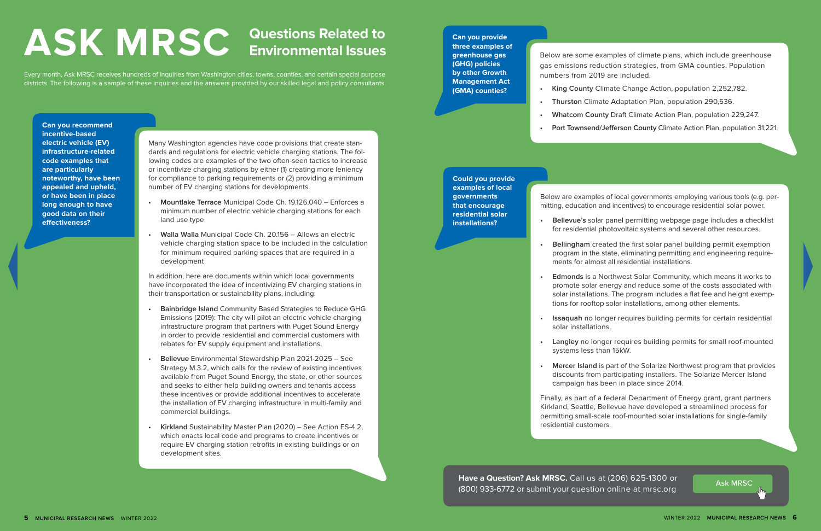**Can you provide three examples of greenhouse gas (GHG) policies by other Growth Management Act (GMA) counties?**

Below are some examples of climate plans, which include greenhouse gas emissions reduction strategies, from GMA counties. Population numbers from 2019 are included.

- 
- 
- 
- 

**Have a Question? Ask MRSC.** Call us at (206) 625-1300 or **Ask MRSC.** Ask MRSC (800) 933-6772 or submit your question online at mrsc.org

**• King County** Climate Change Action, population 2,252,782.

**• Thurston** Climate Adaptation Plan, population 290,536.

**• Whatcom County** Draft Climate Action Plan, population 229,247.

**• Port Townsend/Jefferson County** Climate Action Plan, population 31,221.

Every month, Ask MRSC receives hundreds of inquiries from Washington cities, towns, counties, and certain special purpose districts. The following is a sample of these inquiries and the answers provided by our skilled legal and policy consultants.

# **Questions Related to ASK MRSC Environmental Issues**

**Can you recommend incentive-based electric vehicle (EV) infrastructure-related code examples that are particularly noteworthy, have been appealed and upheld, or have been in place long enough to have good data on their effectiveness?**

Many Washington agencies have code provisions that create standards and regulations for electric vehicle charging stations. The following codes are examples of the two often-seen tactics to increase or incentivize charging stations by either (1) creating more leniency for compliance to parking requirements or (2) providing a minimum number of EV charging stations for developments.

- **• Mountlake Terrace** Municipal Code Ch. 19.126.040 Enforces a minimum number of electric vehicle charging stations for each land use type
- **• Walla Walla** Municipal Code Ch. 20.156 Allows an electric vehicle charging station space to be included in the calculation for minimum required parking spaces that are required in a development

In addition, here are documents within which local governments have incorporated the idea of incentivizing EV charging stations in their transportation or sustainability plans, including:

- **• Bainbridge Island** Community Based Strategies to Reduce GHG Emissions (2019): The city will pilot an electric vehicle charging infrastructure program that partners with Puget Sound Energy in order to provide residential and commercial customers with rebates for EV supply equipment and installations.
- **• Bellevue** Environmental Stewardship Plan 2021-2025 See Strategy M.3.2, which calls for the review of existing incentives available from Puget Sound Energy, the state, or other sources and seeks to either help building owners and tenants access these incentives or provide additional incentives to accelerate the installation of EV charging infrastructure in multi-family and commercial buildings.
- **• Kirkland** Sustainability Master Plan (2020) See Action ES-4.2, which enacts local code and programs to create incentives or require EV charging station retrofits in existing buildings or on development sites.

**Could you provide examples of local governments that encourage residential solar installations?**

Below are examples of local governments employing various tools (e.g. permitting, education and incentives) to encourage residential solar power.

**• Bellevue's** solar panel permitting webpage page includes a checklist for residential photovoltaic systems and several other resources.

**• Bellingham** created the first solar panel building permit exemption program in the state, eliminating permitting and engineering requirements for almost all residential installations.

**• Edmonds** is a Northwest Solar Community, which means it works to promote solar energy and reduce some of the costs associated with solar installations. The program includes a flat fee and height exemptions for rooftop solar installations, among other elements.

**• Issaquah** no longer requires building permits for certain residential

**• Langley** no longer requires building permits for small roof-mounted

- 
- 
- 
- solar installations.
- systems less than 15kW.
- 

**• Mercer Island** is part of the Solarize Northwest program that provides discounts from participating installers. The Solarize Mercer Island campaign has been in place since 2014.

Finally, as part of a federal Department of Energy grant, grant partners Kirkland, Seattle, Bellevue have developed a streamlined process for permitting small-scale roof-mounted solar installations for single-family residential customers.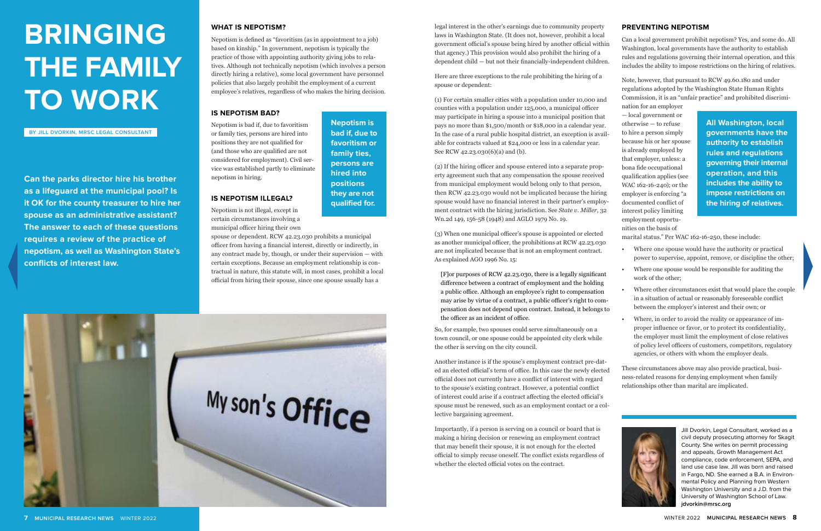Jill Dvorkin, Legal Consultant, worked as a civil deputy prosecuting attorney for Skagit County. She writes on permit processing and appeals, Growth Management Act compliance, code enforcement, SEPA, and land use case law. Jill was born and raised in Fargo, ND. She earned a B.A. in Environmental Policy and Planning from Western Washington University and a J.D. from the University of Washington School of Law. **jdvorkin@mrsc.org**



#### **WHAT IS NEPOTISM?**

Nepotism is defined as "favoritism (as in appointment to a job) based on kinship." In government, nepotism is typically the practice of those with appointing authority giving jobs to relatives. Although not technically nepotism (which involves a person directly hiring a relative), some local government have personnel policies that also largely prohibit the employment of a current employee's relatives, regardless of who makes the hiring decision.

#### **IS NEPOTISM BAD?**

Nepotism is bad if, due to favoritism or family ties, persons are hired into positions they are not qualified for (and those who are qualified are not considered for employment). Civil service was established partly to eliminate nepotism in hiring.

#### **IS NEPOTISM ILLEGAL?**

Nepotism is not illegal, except in certain circumstances involving a municipal officer hiring their own

spouse or dependent. RCW 42.23.030 prohibits a municipal officer from having a financial interest, directly or indirectly, in any contract made by, though, or under their supervision — with certain exceptions. Because an employment relationship is contractual in nature, this statute will, in most cases, prohibit a local official from hiring their spouse, since one spouse usually has a



# **BRINGING THE FAMILY TO WORK**

**Can the parks director hire his brother as a lifeguard at the municipal pool? Is it OK for the county treasurer to hire her spouse as an administrative assistant? The answer to each of these questions requires a review of the practice of nepotism, as well as Washington State's conflicts of interest law.** 

legal interest in the other's earnings due to community property laws in Washington State. (It does not, however, prohibit a local government official's spouse being hired by another official within that agency.) This provision would also prohibit the hiring of a dependent child — but not their financially-independent children.

Here are three exceptions to the rule prohibiting the hiring of a spouse or dependent:

(1) For certain smaller cities with a population under 10,000 and counties with a population under 125,000, a municipal officer may participate in hiring a spouse into a municipal position that pays no more than \$1,500/month or \$18,000 in a calendar year. In the case of a rural public hospital district, an exception is available for contracts valued at \$24,000 or less in a calendar year. See RCW 42.23.030(6)(a) and (b).

(2) If the hiring officer and spouse entered into a separate property agreement such that any compensation the spouse received from municipal employment would belong only to that person, then RCW 42.23.030 would not be implicated because the hiring spouse would have no financial interest in their partner's employment contract with the hiring jurisdiction. See *State v. Miller*, 32 Wn.2d 149, 156-58 (1948) and AGLO 1979 No. 19.

(3) When one municipal officer's spouse is appointed or elected as another municipal officer, the prohibitions at RCW 42.23.030 are not implicated because that is not an employment contract. As explained AGO 1996 No. 15:

[F]or purposes of RCW 42.23.030, there is a legally significant difference between a contract of employment and the holding a public office. Although an employee's right to compensation may arise by virtue of a contract, a public officer's right to compensation does not depend upon contract. Instead, it belongs to the officer as an incident of office.

So, for example, two spouses could serve simultaneously on a town council, or one spouse could be appointed city clerk while the other is serving on the city council.

Importantly, if a person is serving on a council or board that is making a hiring decision or renewing an employment contract that may benefit their spouse, it is not enough for the elected official to simply recuse oneself. The conflict exists regardless of whether the elected official votes on the contract.

#### **PREVENTING NEPOTISM**

Can a local government prohibit nepotism? Yes, and some do. All Washington, local governments have the authority to establish rules and regulations governing their internal operation, and this includes the ability to impose restrictions on the hiring of relatives.

Note, however, that pursuant to RCW 49.60.180 and under regulations adopted by the Washington State Human Rights Commission, it is an "unfair practice" and prohibited discrimi-

Another instance is if the spouse's employment contract pre-dated an elected official's term of office. In this case the newly elected official does not currently have a conflict of interest with regard to the spouse's existing contract. However, a potential conflict of interest could arise if a contract affecting the elected official's spouse must be renewed, such as an employment contact or a collective bargaining agreement. These circumstances above may also provide practical, business-related reasons for denying employment when family relationships other than marital are implicated.

nation for an employer — local government or otherwise — to refuse to hire a person simply because his or her spouse is already employed by that employer, unless: a bona fide occupational qualification applies (see WAC 162-16-240); or the employer is enforcing "a documented conflict of interest policy limiting employment opportunities on the basis of

marital status." Per WAC 162-16-250, these include:

- Where one spouse would have the authority or practical power to supervise, appoint, remove, or discipline the other;
- Where one spouse would be responsible for auditing the work of the other;
- Where other circumstances exist that would place the couple in a situation of actual or reasonably foreseeable conflict between the employer's interest and their own; or
	- Where, in order to avoid the reality or appearance of improper influence or favor, or to protect its confidentiality, the employer must limit the employment of close relatives of policy level officers of customers, competitors, regulatory agencies, or others with whom the employer deals.



**BY JILL DVORKIN, MRSC LEGAL CONSULTANT**

**All Washington, local governments have the authority to establish rules and regulations governing their internal operation, and this includes the ability to impose restrictions on the hiring of relatives.**

**Nepotism is bad if, due to favoritism or family ties, persons are hired into positions they are not qualified for.**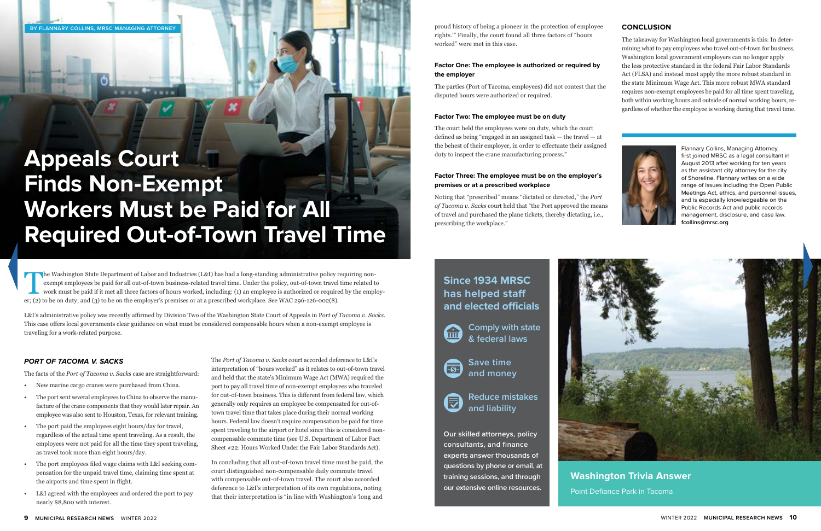**training sessions, and through our extensive online resources.**



**Washington Trivia Answer**  Point Defiance Park in Tacoma

## **Appeals Court Finds Non-Exempt Workers Must be Paid for All Required Out-of-Town Travel Time**

#### *PORT OF TACOMA V. SACKS*

The facts of the *Port of Tacoma v. Sacks* case are straightforward:

The Washington State Department of Labor and Industries (L&I) has had a long-standing administrative policy requiring non-<br>exempt employees be paid for all out-of-town business-related travel time. Under the policy, out-of exempt employees be paid for all out-of-town business-related travel time. Under the policy, out-of-town travel time related to work must be paid if it met all three factors of hours worked, including: (1) an employee is authorized or required by the employer; (2) to be on duty; and (3) to be on the employer's premises or at a prescribed workplace. See WAC 296-126-002(8).

- New marine cargo cranes were purchased from China.
- The port sent several employees to China to observe the manufacture of the crane components that they would later repair. An employee was also sent to Houston, Texas, for relevant training.
- The port paid the employees eight hours/day for travel, regardless of the actual time spent traveling. As a result, the employees were not paid for all the time they spent traveling, as travel took more than eight hours/day.
- The port employees filed wage claims with L&I seeking compensation for the unpaid travel time, claiming time spent at the airports and time spent in flight.
- L&I agreed with the employees and ordered the port to pay nearly \$8,800 with interest.

Noting that "prescribed" means "dictated or directed," the *Port of Tacoma v. Sacks* court held that "the Port approved the means of travel and purchased the plane tickets, thereby dictating, i.e., prescribing the workplace."

L&I's administrative policy was recently affirmed by Division Two of the Washington State Court of Appeals in P*ort of Tacoma v. Sacks*. This case offers local governments clear guidance on what must be considered compensable hours when a non-exempt employee is traveling for a work-related purpose.

> The *Port of Tacoma v. Sacks* court accorded deference to L&I's interpretation of "hours worked" as it relates to out-of-town travel and held that the state's Minimum Wage Act (MWA) required the port to pay all travel time of non-exempt employees who traveled for out-of-town business. This is different from federal law, which generally only requires an employee be compensated for out-oftown travel time that takes place during their normal working hours. Federal law doesn't require compensation be paid for time spent traveling to the airport or hotel since this is considered noncompensable commute time (see U.S. Department of Labor Fact Sheet #22: Hours Worked Under the Fair Labor Standards Act).

In concluding that all out-of-town travel time must be paid, the court distinguished non-compensable daily commute travel with compensable out-of-town travel. The court also accorded deference to L&I's interpretation of its own regulations, noting that their interpretation is "in line with Washington's 'long and

proud history of being a pioneer in the protection of employee rights.'" Finally, the court found all three factors of "hours worked" were met in this case.

#### **Factor One: The employee is authorized or required by the employer**

The parties (Port of Tacoma, employees) did not contest that the disputed hours were authorized or required.

#### **Factor Two: The employee must be on duty**

The court held the employees were on duty, which the court defined as being "engaged in an assigned task — the travel — at the behest of their employer, in order to effectuate their assigned duty to inspect the crane manufacturing process."

#### **Factor Three: The employee must be on the employer's premises or at a prescribed workplace**

Flannary Collins, Managing Attorney, first joined MRSC as a legal consultant in August 2013 after working for ten years as the assistant city attorney for the city of Shoreline. Flannary writes on a wide range of issues including the Open Public Meetings Act, ethics, and personnel issues, and is especially knowledgeable on the Public Records Act and public records management, disclosure, and case law. **fcollins@mrsc.org**

#### **CONCLUSION**

The takeaway for Washington local governments is this: In determining what to pay employees who travel out-of-town for business, Washington local government employers can no longer apply the less protective standard in the federal Fair Labor Standards Act (FLSA) and instead must apply the more robust standard in the state Minimum Wage Act. This more robust MWA standard requires non-exempt employees be paid for all time spent traveling, both within working hours and outside of normal working hours, regardless of whether the employee is working during that travel time.



**BY FLANNARY COLLINS, MRSC MANAGING ATTORNEY**